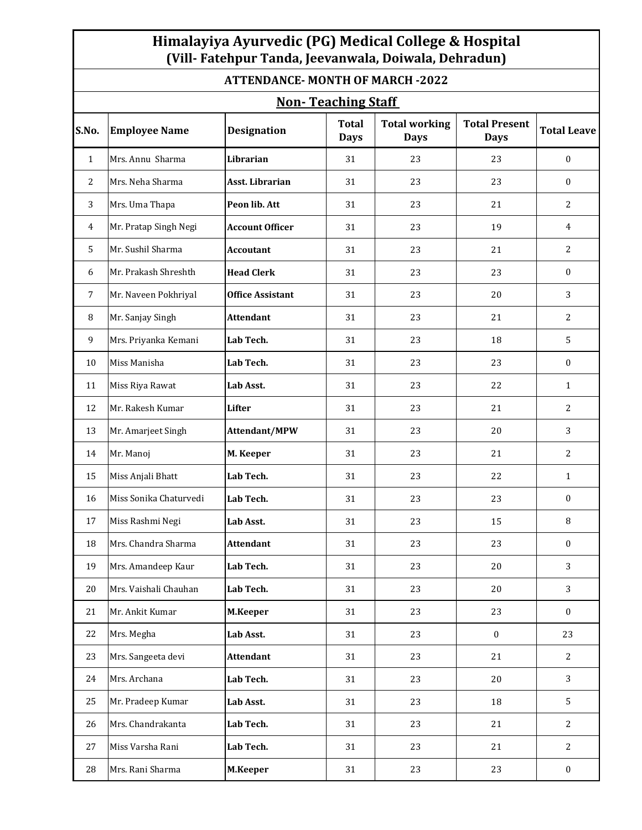## **Himalayiya Ayurvedic (PG) Medical College & Hospital (Vill- Fatehpur Tanda, Jeevanwala, Doiwala, Dehradun)**

**ATTENDANCE- MONTH OF MARCH -2022**

| <b>Non-Teaching Staff</b> |                        |                         |                             |                                     |                                     |                    |  |  |  |  |
|---------------------------|------------------------|-------------------------|-----------------------------|-------------------------------------|-------------------------------------|--------------------|--|--|--|--|
| S.No.                     | <b>Employee Name</b>   | <b>Designation</b>      | <b>Total</b><br><b>Days</b> | <b>Total working</b><br><b>Days</b> | <b>Total Present</b><br><b>Days</b> | <b>Total Leave</b> |  |  |  |  |
| $\mathbf{1}$              | Mrs. Annu Sharma       | Librarian               | 31                          | 23                                  | 23                                  | $\mathbf{0}$       |  |  |  |  |
| 2                         | Mrs. Neha Sharma       | <b>Asst. Librarian</b>  | 31                          | 23                                  | 23                                  | $\mathbf{0}$       |  |  |  |  |
| 3                         | Mrs. Uma Thapa         | Peon lib. Att           | 31                          | 23                                  | 21                                  | 2                  |  |  |  |  |
| 4                         | Mr. Pratap Singh Negi  | <b>Account Officer</b>  | 31                          | 23                                  | 19                                  | $\overline{4}$     |  |  |  |  |
| 5                         | Mr. Sushil Sharma      | <b>Accoutant</b>        | 31                          | 23                                  | 21                                  | $\overline{c}$     |  |  |  |  |
| 6                         | Mr. Prakash Shreshth   | <b>Head Clerk</b>       | 31                          | 23                                  | 23                                  | $\mathbf{0}$       |  |  |  |  |
| $\overline{7}$            | Mr. Naveen Pokhriyal   | <b>Office Assistant</b> | 31                          | 23                                  | 20                                  | 3                  |  |  |  |  |
| 8                         | Mr. Sanjay Singh       | <b>Attendant</b>        | 31                          | 23                                  | 21                                  | 2                  |  |  |  |  |
| 9                         | Mrs. Priyanka Kemani   | Lab Tech.               | 31                          | 23                                  | 18                                  | 5                  |  |  |  |  |
| 10                        | Miss Manisha           | Lab Tech.               | 31                          | 23                                  | 23                                  | $\boldsymbol{0}$   |  |  |  |  |
| 11                        | Miss Riya Rawat        | Lab Asst.               | 31                          | 23                                  | 22                                  | 1                  |  |  |  |  |
| 12                        | Mr. Rakesh Kumar       | <b>Lifter</b>           | 31                          | 23                                  | 21                                  | $\overline{2}$     |  |  |  |  |
| 13                        | Mr. Amarjeet Singh     | Attendant/MPW           | 31                          | 23                                  | 20                                  | 3                  |  |  |  |  |
| 14                        | Mr. Manoj              | M. Keeper               | 31                          | 23                                  | 21                                  | $\overline{c}$     |  |  |  |  |
| 15                        | Miss Anjali Bhatt      | Lab Tech.               | 31                          | 23                                  | 22                                  | $\mathbf{1}$       |  |  |  |  |
| 16                        | Miss Sonika Chaturvedi | Lab Tech.               | 31                          | 23                                  | 23                                  | $\bf{0}$           |  |  |  |  |
| 17                        | Miss Rashmi Negi       | Lab Asst.               | 31                          | 23                                  | 15                                  | 8                  |  |  |  |  |
| 18                        | Mrs. Chandra Sharma    | <b>Attendant</b>        | 31                          | 23                                  | 23                                  | $\mathbf{0}$       |  |  |  |  |
| 19                        | Mrs. Amandeep Kaur     | Lab Tech.               | 31                          | 23                                  | 20                                  | 3                  |  |  |  |  |
| 20                        | Mrs. Vaishali Chauhan  | Lab Tech.               | 31                          | 23                                  | 20                                  | 3                  |  |  |  |  |
| 21                        | Mr. Ankit Kumar        | M.Keeper                | 31                          | 23                                  | 23                                  | $\bf{0}$           |  |  |  |  |
| 22                        | Mrs. Megha             | Lab Asst.               | 31                          | 23                                  | $\boldsymbol{0}$                    | 23                 |  |  |  |  |
| 23                        | Mrs. Sangeeta devi     | <b>Attendant</b>        | 31                          | 23                                  | 21                                  | 2                  |  |  |  |  |
| 24                        | Mrs. Archana           | Lab Tech.               | 31                          | 23                                  | 20                                  | 3                  |  |  |  |  |
| 25                        | Mr. Pradeep Kumar      | Lab Asst.               | 31                          | 23                                  | 18                                  | 5                  |  |  |  |  |
| 26                        | Mrs. Chandrakanta      | Lab Tech.               | 31                          | 23                                  | 21                                  | $\overline{2}$     |  |  |  |  |
| 27                        | Miss Varsha Rani       | Lab Tech.               | 31                          | 23                                  | 21                                  | 2                  |  |  |  |  |
| 28                        | Mrs. Rani Sharma       | M.Keeper                | 31                          | 23                                  | 23                                  | $\boldsymbol{0}$   |  |  |  |  |